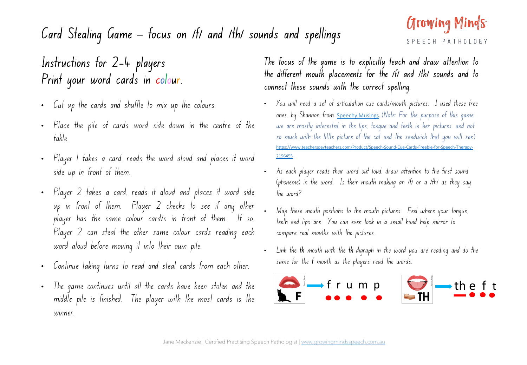## $S$   $F$

## **Card Stealing Game – focus on /f/ and /th/ sounds and spellings**

## **Instructions for 2-4 players Print your word cards in colour.**

- Cut up the cards and shuffle to mix up the colours.
- Place the pile of cards word side down in the centre of the table.
- Player 1 takes a card, reads the word aloud and places it word side up in front of them.
- Player 2 takes a card, reads it aloud and places it word side up in front of them. Player 2 checks to see if any other player has the same colour card/s in front of them. If so, Player 2 can steal the other same colour cards reading each word aloud before moving it into their own pile.
- Continue taking turns to read and steal cards from each other.
- The game continues until all the cards have been stolen and the middle pile is finished. The player with the most cards is the winner.

**The focus of the game is to explicitly teach and draw attention to the different mouth placements for the /f/ and /th/ sounds and to connect these sounds with the correct spelling.**

- You will need a set of articulation cue cards/mouth pi ones, by Shannon from <u>Speechy Musings</u>. (Note: For th we are mostly interested in the lips, tonque and teeth so much with the little picture ot the cat and the san https://www.teacherspayteachers.com/Product/Speech-Sound-Cue-Card 2196455
- As each [player reads their word out loud,](http://www.growingmindsspeech.com.au/) draw atten (phoneme) in the word. Is their mouth making an IfI the word?
- Map these mouth positions to the mouth pictures. Fe teeth and lips are. You can even look in a small har compare real mouths with the pictures.
- Link the **th** mouth with the **th** digraph in the word you same for the **f** mouth as the players read the words.